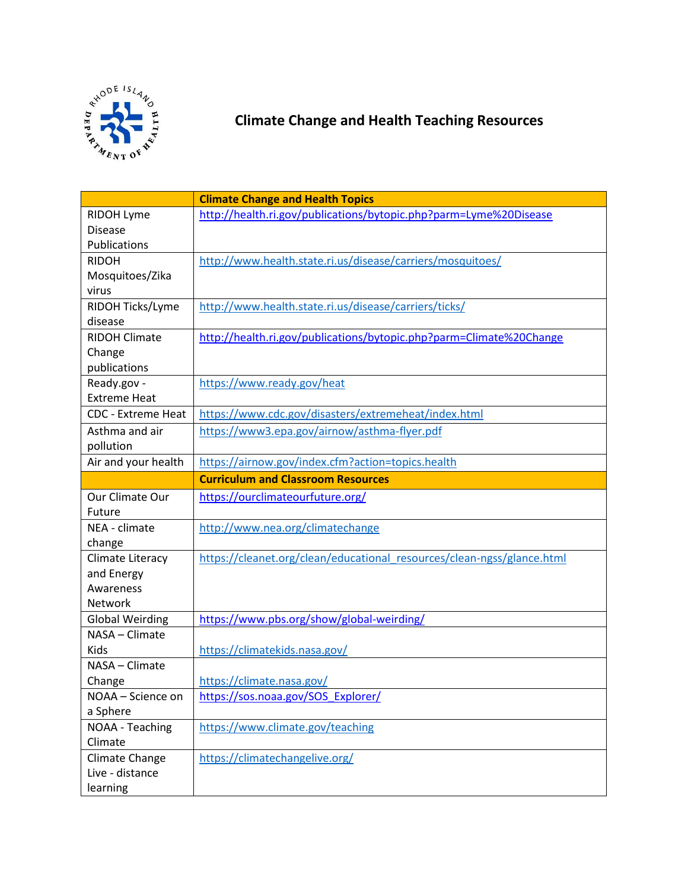

## **Climate Change and Health Teaching Resources**

|                           | <b>Climate Change and Health Topics</b>                                |
|---------------------------|------------------------------------------------------------------------|
| <b>RIDOH Lyme</b>         | http://health.ri.gov/publications/bytopic.php?parm=Lyme%20Disease      |
| <b>Disease</b>            |                                                                        |
| Publications              |                                                                        |
| <b>RIDOH</b>              | http://www.health.state.ri.us/disease/carriers/mosquitoes/             |
| Mosquitoes/Zika           |                                                                        |
| virus                     |                                                                        |
| RIDOH Ticks/Lyme          | http://www.health.state.ri.us/disease/carriers/ticks/                  |
| disease                   |                                                                        |
| <b>RIDOH Climate</b>      | http://health.ri.gov/publications/bytopic.php?parm=Climate%20Change    |
| Change                    |                                                                        |
| publications              |                                                                        |
| Ready.gov -               | https://www.ready.gov/heat                                             |
| <b>Extreme Heat</b>       |                                                                        |
| <b>CDC - Extreme Heat</b> | https://www.cdc.gov/disasters/extremeheat/index.html                   |
| Asthma and air            | https://www3.epa.gov/airnow/asthma-flyer.pdf                           |
| pollution                 |                                                                        |
| Air and your health       | https://airnow.gov/index.cfm?action=topics.health                      |
|                           | <b>Curriculum and Classroom Resources</b>                              |
| Our Climate Our           | https://ourclimateourfuture.org/                                       |
| Future                    |                                                                        |
| NEA - climate             | http://www.nea.org/climatechange                                       |
| change                    |                                                                        |
| Climate Literacy          | https://cleanet.org/clean/educational resources/clean-ngss/glance.html |
| and Energy                |                                                                        |
| Awareness                 |                                                                        |
| Network                   |                                                                        |
| <b>Global Weirding</b>    | https://www.pbs.org/show/global-weirding/                              |
| NASA - Climate            |                                                                        |
| Kids                      | https://climatekids.nasa.gov/                                          |
| NASA - Climate            |                                                                        |
| Change                    | https://climate.nasa.gov/                                              |
| NOAA - Science on         | https://sos.noaa.gov/SOS_Explorer/                                     |
| a Sphere                  |                                                                        |
| NOAA - Teaching           | https://www.climate.gov/teaching                                       |
| Climate                   |                                                                        |
| Climate Change            | https://climatechangelive.org/                                         |
| Live - distance           |                                                                        |
| learning                  |                                                                        |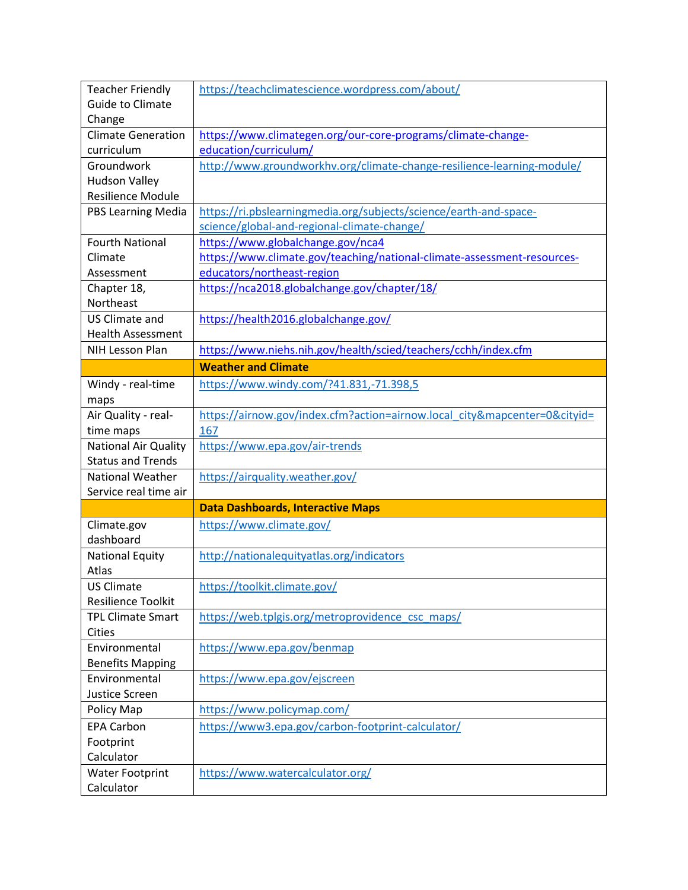| <b>Teacher Friendly</b>     | https://teachclimatescience.wordpress.com/about/                          |
|-----------------------------|---------------------------------------------------------------------------|
| <b>Guide to Climate</b>     |                                                                           |
| Change                      |                                                                           |
| <b>Climate Generation</b>   | https://www.climategen.org/our-core-programs/climate-change-              |
| curriculum                  | education/curriculum/                                                     |
| Groundwork                  | http://www.groundworkhv.org/climate-change-resilience-learning-module/    |
| <b>Hudson Valley</b>        |                                                                           |
| <b>Resilience Module</b>    |                                                                           |
| <b>PBS Learning Media</b>   | https://ri.pbslearningmedia.org/subjects/science/earth-and-space-         |
|                             | science/global-and-regional-climate-change/                               |
| <b>Fourth National</b>      | https://www.globalchange.gov/nca4                                         |
| Climate                     | https://www.climate.gov/teaching/national-climate-assessment-resources-   |
| Assessment                  | educators/northeast-region                                                |
| Chapter 18,                 | https://nca2018.globalchange.gov/chapter/18/                              |
| Northeast                   |                                                                           |
| <b>US Climate and</b>       | https://health2016.globalchange.gov/                                      |
| <b>Health Assessment</b>    |                                                                           |
| NIH Lesson Plan             | https://www.niehs.nih.gov/health/scied/teachers/cchh/index.cfm            |
|                             | <b>Weather and Climate</b>                                                |
| Windy - real-time           | https://www.windy.com/?41.831,-71.398,5                                   |
| maps                        |                                                                           |
| Air Quality - real-         | https://airnow.gov/index.cfm?action=airnow.local_city&mapcenter=0&cityid= |
| time maps                   | 167                                                                       |
|                             |                                                                           |
| <b>National Air Quality</b> | https://www.epa.gov/air-trends                                            |
| <b>Status and Trends</b>    |                                                                           |
| <b>National Weather</b>     | https://airquality.weather.gov/                                           |
| Service real time air       |                                                                           |
|                             | <b>Data Dashboards, Interactive Maps</b>                                  |
| Climate.gov                 | https://www.climate.gov/                                                  |
| dashboard                   |                                                                           |
| <b>National Equity</b>      | http://nationalequityatlas.org/indicators                                 |
| Atlas                       |                                                                           |
| <b>US Climate</b>           | https://toolkit.climate.gov/                                              |
| <b>Resilience Toolkit</b>   |                                                                           |
| <b>TPL Climate Smart</b>    | https://web.tplgis.org/metroprovidence csc maps/                          |
| <b>Cities</b>               |                                                                           |
| Environmental               | https://www.epa.gov/benmap                                                |
| <b>Benefits Mapping</b>     |                                                                           |
| Environmental               | https://www.epa.gov/ejscreen                                              |
| Justice Screen              |                                                                           |
| Policy Map                  | https://www.policymap.com/                                                |
| <b>EPA Carbon</b>           | https://www3.epa.gov/carbon-footprint-calculator/                         |
| Footprint                   |                                                                           |
| Calculator                  |                                                                           |
| <b>Water Footprint</b>      | https://www.watercalculator.org/                                          |